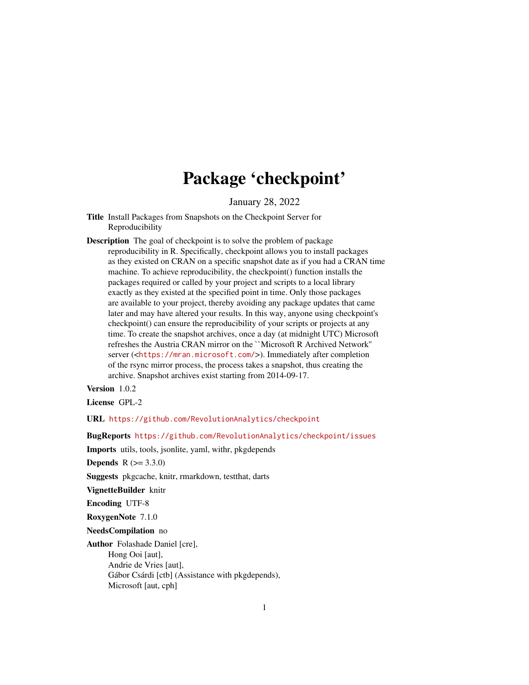## Package 'checkpoint'

January 28, 2022

- <span id="page-0-0"></span>Title Install Packages from Snapshots on the Checkpoint Server for Reproducibility
- Description The goal of checkpoint is to solve the problem of package reproducibility in R. Specifically, checkpoint allows you to install packages as they existed on CRAN on a specific snapshot date as if you had a CRAN time machine. To achieve reproducibility, the checkpoint() function installs the packages required or called by your project and scripts to a local library exactly as they existed at the specified point in time. Only those packages are available to your project, thereby avoiding any package updates that came later and may have altered your results. In this way, anyone using checkpoint's checkpoint() can ensure the reproducibility of your scripts or projects at any time. To create the snapshot archives, once a day (at midnight UTC) Microsoft refreshes the Austria CRAN mirror on the ``Microsoft R Archived Network'' server (<<https://mran.microsoft.com/>>). Immediately after completion of the rsync mirror process, the process takes a snapshot, thus creating the archive. Snapshot archives exist starting from 2014-09-17.

Version 1.0.2

License GPL-2

URL <https://github.com/RevolutionAnalytics/checkpoint>

BugReports <https://github.com/RevolutionAnalytics/checkpoint/issues>

Imports utils, tools, jsonlite, yaml, withr, pkgdepends

**Depends**  $R (= 3.3.0)$ 

Suggests pkgcache, knitr, rmarkdown, testthat, darts

VignetteBuilder knitr

Encoding UTF-8

RoxygenNote 7.1.0

NeedsCompilation no

Author Folashade Daniel [cre], Hong Ooi [aut], Andrie de Vries [aut], Gábor Csárdi [ctb] (Assistance with pkgdepends), Microsoft [aut, cph]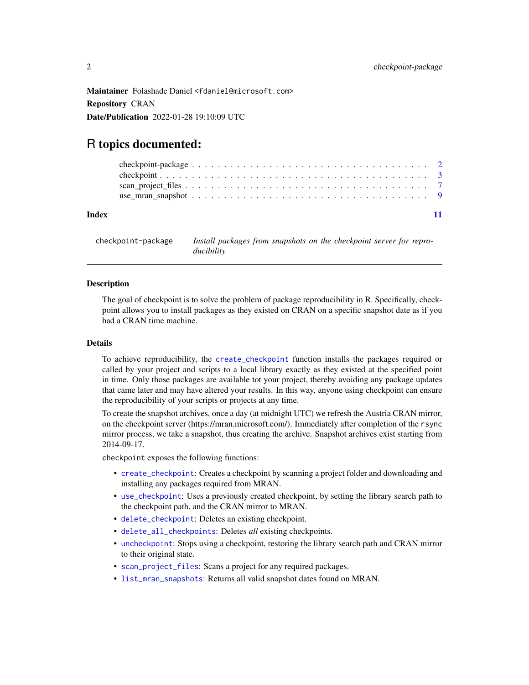<span id="page-1-0"></span>Maintainer Folashade Daniel <fdaniel@microsoft.com> Repository CRAN Date/Publication 2022-01-28 19:10:09 UTC

### R topics documented:

| Index |  |  |  |  |  |  |  |  |  |  |  |  |  |  |  |  |  |
|-------|--|--|--|--|--|--|--|--|--|--|--|--|--|--|--|--|--|

checkpoint-package *Install packages from snapshots on the checkpoint server for reproducibility*

#### Description

The goal of checkpoint is to solve the problem of package reproducibility in R. Specifically, checkpoint allows you to install packages as they existed on CRAN on a specific snapshot date as if you had a CRAN time machine.

#### Details

To achieve reproducibility, the [create\\_checkpoint](#page-2-1) function installs the packages required or called by your project and scripts to a local library exactly as they existed at the specified point in time. Only those packages are available tot your project, thereby avoiding any package updates that came later and may have altered your results. In this way, anyone using checkpoint can ensure the reproducibility of your scripts or projects at any time.

To create the snapshot archives, once a day (at midnight UTC) we refresh the Austria CRAN mirror, on the checkpoint server (https://mran.microsoft.com/). Immediately after completion of the rsync mirror process, we take a snapshot, thus creating the archive. Snapshot archives exist starting from 2014-09-17.

checkpoint exposes the following functions:

- [create\\_checkpoint](#page-2-1): Creates a checkpoint by scanning a project folder and downloading and installing any packages required from MRAN.
- [use\\_checkpoint](#page-2-1): Uses a previously created checkpoint, by setting the library search path to the checkpoint path, and the CRAN mirror to MRAN.
- [delete\\_checkpoint](#page-2-1): Deletes an existing checkpoint.
- [delete\\_all\\_checkpoints](#page-2-1): Deletes *all* existing checkpoints.
- [uncheckpoint](#page-2-1): Stops using a checkpoint, restoring the library search path and CRAN mirror to their original state.
- [scan\\_project\\_files](#page-6-1): Scans a project for any required packages.
- [list\\_mran\\_snapshots](#page-8-1): Returns all valid snapshot dates found on MRAN.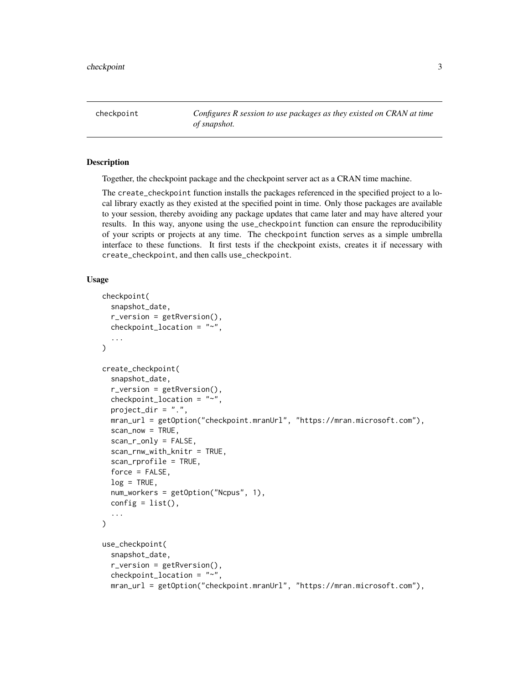<span id="page-2-0"></span>checkpoint *Configures R session to use packages as they existed on CRAN at time of snapshot.*

#### <span id="page-2-1"></span>Description

Together, the checkpoint package and the checkpoint server act as a CRAN time machine.

The create\_checkpoint function installs the packages referenced in the specified project to a local library exactly as they existed at the specified point in time. Only those packages are available to your session, thereby avoiding any package updates that came later and may have altered your results. In this way, anyone using the use\_checkpoint function can ensure the reproducibility of your scripts or projects at any time. The checkpoint function serves as a simple umbrella interface to these functions. It first tests if the checkpoint exists, creates it if necessary with create\_checkpoint, and then calls use\_checkpoint.

#### Usage

```
checkpoint(
  snapshot_date,
  r_version = getRversion(),
  checkpoint_location = "~",
  ...
\mathcal{L}create_checkpoint(
  snapshot_date,
  r_version = getRversion(),
  checkpoint_location = "~",
  project_dir = ".",
  mran_url = getOption("checkpoint.mranUrl", "https://mran.microsoft.com"),
  scan_new = TRUE,scan_r_only = FALSE,
  scan_rnw_with_knitr = TRUE,
  scan_rprofile = TRUE,
  force = FALSE,log = TRUE,num_workers = getOption("Ncpus", 1),
  config = list(),
  ...
\lambdause_checkpoint(
  snapshot_date,
  r_version = getRversion(),
  checkpoint_location = "~",
 mran_url = getOption("checkpoint.mranUrl", "https://mran.microsoft.com"),
```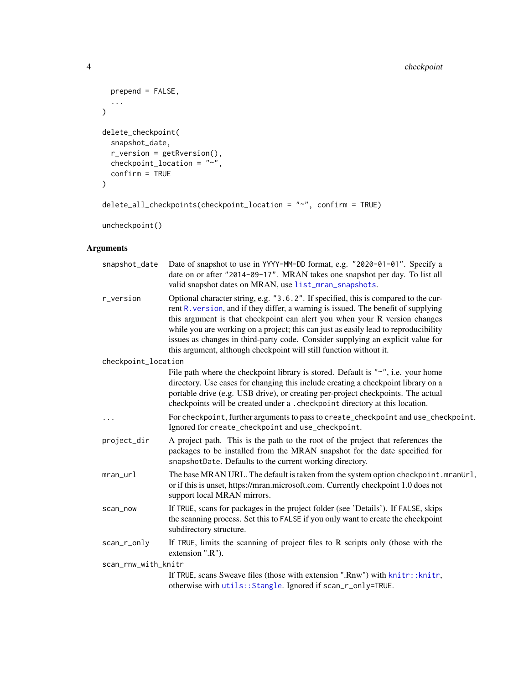```
prepend = FALSE,
  ...
\lambdadelete_checkpoint(
  snapshot_date,
  r_version = getRversion(),
  checkpoint_location = "~",
  confirm = TRUE
\mathcal{L}
```
delete\_all\_checkpoints(checkpoint\_location = "~", confirm = TRUE)

uncheckpoint()

#### Arguments

| snapshot_date       | Date of snapshot to use in YYYY-MM-DD format, e.g. "2020-01-01". Specify a<br>date on or after "2014-09-17". MRAN takes one snapshot per day. To list all<br>valid snapshot dates on MRAN, use list_mran_snapshots.                                                                                                                                                                                                                                                                                     |
|---------------------|---------------------------------------------------------------------------------------------------------------------------------------------------------------------------------------------------------------------------------------------------------------------------------------------------------------------------------------------------------------------------------------------------------------------------------------------------------------------------------------------------------|
| r_version           | Optional character string, e.g. "3.6.2". If specified, this is compared to the cur-<br>rent R. version, and if they differ, a warning is issued. The benefit of supplying<br>this argument is that checkpoint can alert you when your R version changes<br>while you are working on a project; this can just as easily lead to reproducibility<br>issues as changes in third-party code. Consider supplying an explicit value for<br>this argument, although checkpoint will still function without it. |
| checkpoint_location |                                                                                                                                                                                                                                                                                                                                                                                                                                                                                                         |
|                     | File path where the checkpoint library is stored. Default is "~", i.e. your home<br>directory. Use cases for changing this include creating a checkpoint library on a<br>portable drive (e.g. USB drive), or creating per-project checkpoints. The actual<br>checkpoints will be created under a . checkpoint directory at this location.                                                                                                                                                               |
| $\cdots$            | For checkpoint, further arguments to pass to create_checkpoint and use_checkpoint.<br>Ignored for create_checkpoint and use_checkpoint.                                                                                                                                                                                                                                                                                                                                                                 |
| project_dir         | A project path. This is the path to the root of the project that references the<br>packages to be installed from the MRAN snapshot for the date specified for<br>snapshotDate. Defaults to the current working directory.                                                                                                                                                                                                                                                                               |
| $mran_Ur1$          | The base MRAN URL. The default is taken from the system option checkpoint.mranUrl,<br>or if this is unset, https://mran.microsoft.com. Currently checkpoint 1.0 does not<br>support local MRAN mirrors.                                                                                                                                                                                                                                                                                                 |
| scan_now            | If TRUE, scans for packages in the project folder (see 'Details'). If FALSE, skips<br>the scanning process. Set this to FALSE if you only want to create the checkpoint<br>subdirectory structure.                                                                                                                                                                                                                                                                                                      |
| scan_r_only         | If TRUE, limits the scanning of project files to $R$ scripts only (those with the<br>extension ".R").                                                                                                                                                                                                                                                                                                                                                                                                   |
| scan_rnw_with_knitr |                                                                                                                                                                                                                                                                                                                                                                                                                                                                                                         |
|                     | If TRUE, scans Sweave files (those with extension ".Rnw") with knitr::knitr,<br>otherwise with utils:: Stangle. Ignored if scan_r_only=TRUE.                                                                                                                                                                                                                                                                                                                                                            |

<span id="page-3-0"></span>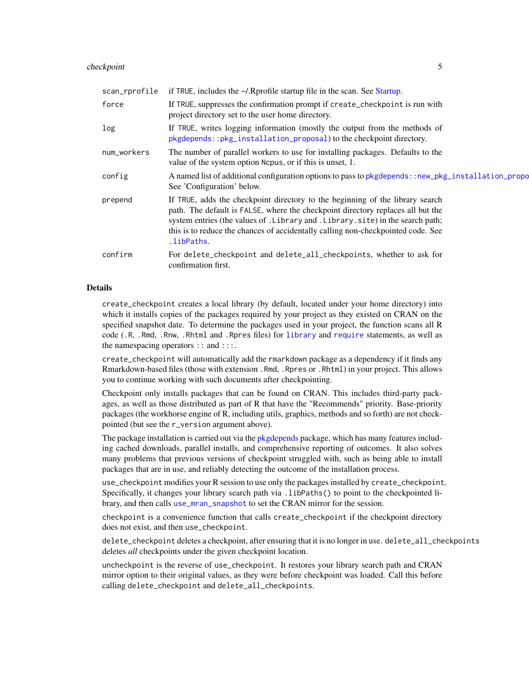#### <span id="page-4-0"></span>checkpoint 5

| scan_rprofile | if TRUE, includes the $\sim$ /. Rprofile startup file in the scan. See Startup.                                                                                                                                                                                                                                                                         |
|---------------|---------------------------------------------------------------------------------------------------------------------------------------------------------------------------------------------------------------------------------------------------------------------------------------------------------------------------------------------------------|
| force         | If TRUE, suppresses the confirmation prompt if create_checkpoint is run with<br>project directory set to the user home directory.                                                                                                                                                                                                                       |
| log           | If TRUE, writes logging information (mostly the output from the methods of<br>pkgdepends::pkg_installation_proposal) to the checkpoint directory.                                                                                                                                                                                                       |
| num_workers   | The number of parallel workers to use for installing packages. Defaults to the<br>value of the system option Ncpus, or if this is unset, 1.                                                                                                                                                                                                             |
| config        | A named list of additional configuration options to pass to pkgdepends: : new_pkg_installation_propo<br>See 'Configuration' below.                                                                                                                                                                                                                      |
| prepend       | If TRUE, adds the checkpoint directory to the beginning of the library search<br>path. The default is FALSE, where the checkpoint directory replaces all but the<br>system entries (the values of . Library and . Library . site) in the search path;<br>this is to reduce the chances of accidentally calling non-checkpointed code. See<br>.libPaths. |
| confirm       | For delete_checkpoint and delete_all_checkpoints, whether to ask for<br>confirmation first.                                                                                                                                                                                                                                                             |

#### Details

create\_checkpoint creates a local library (by default, located under your home directory) into which it installs copies of the packages required by your project as they existed on CRAN on the specified snapshot date. To determine the packages used in your project, the function scans all R code (.R, .Rmd, .Rnw, .Rhtml and .Rpres files) for [library](#page-0-0) and [require](#page-0-0) statements, as well as the namespacing operators :: and :::.

create\_checkpoint will automatically add the rmarkdown package as a dependency if it finds any Rmarkdown-based files (those with extension .Rmd, .Rpres or .Rhtml) in your project. This allows you to continue working with such documents after checkpointing.

Checkpoint only installs packages that can be found on CRAN. This includes third-party packages, as well as those distributed as part of R that have the "Recommends" priority. Base-priority packages (the workhorse engine of R, including utils, graphics, methods and so forth) are not checkpointed (but see the r\_version argument above).

The package installation is carried out via the [pkgdepends](#page-0-0) package, which has many features including cached downloads, parallel installs, and comprehensive reporting of outcomes. It also solves many problems that previous versions of checkpoint struggled with, such as being able to install packages that are in use, and reliably detecting the outcome of the installation process.

use\_checkpoint modifies your R session to use only the packages installed by create\_checkpoint. Specifically, it changes your library search path via .libPaths() to point to the checkpointed library, and then calls [use\\_mran\\_snapshot](#page-8-2) to set the CRAN mirror for the session.

checkpoint is a convenience function that calls create\_checkpoint if the checkpoint directory does not exist, and then use\_checkpoint.

delete\_checkpoint deletes a checkpoint, after ensuring that it is no longer in use. delete\_all\_checkpoints deletes *all* checkpoints under the given checkpoint location.

uncheckpoint is the reverse of use\_checkpoint. It restores your library search path and CRAN mirror option to their original values, as they were before checkpoint was loaded. Call this before calling delete\_checkpoint and delete\_all\_checkpoints.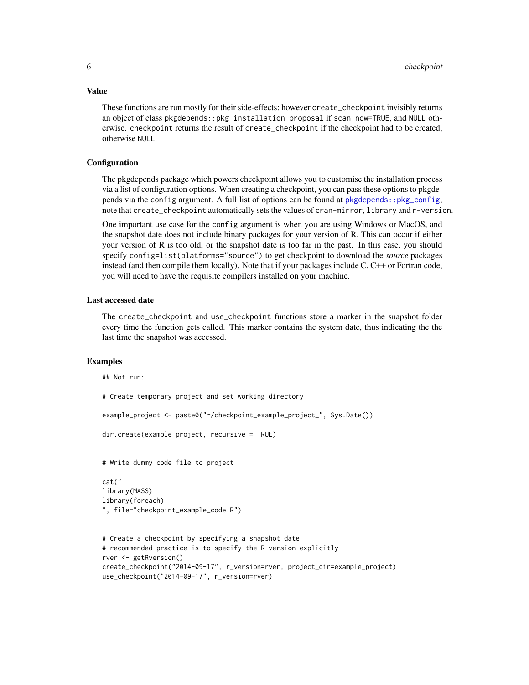These functions are run mostly for their side-effects; however create\_checkpoint invisibly returns an object of class pkgdepends::pkg\_installation\_proposal if scan\_now=TRUE, and NULL otherwise. checkpoint returns the result of create\_checkpoint if the checkpoint had to be created, otherwise NULL.

#### **Configuration**

The pkgdepends package which powers checkpoint allows you to customise the installation process via a list of configuration options. When creating a checkpoint, you can pass these options to pkgdepends via the config argument. A full list of options can be found at [pkgdepends::pkg\\_config](#page-0-0); note that create\_checkpoint automatically sets the values of cran-mirror, library and r-version.

One important use case for the config argument is when you are using Windows or MacOS, and the snapshot date does not include binary packages for your version of R. This can occur if either your version of R is too old, or the snapshot date is too far in the past. In this case, you should specify config=list(platforms="source") to get checkpoint to download the *source* packages instead (and then compile them locally). Note that if your packages include C, C++ or Fortran code, you will need to have the requisite compilers installed on your machine.

#### Last accessed date

The create\_checkpoint and use\_checkpoint functions store a marker in the snapshot folder every time the function gets called. This marker contains the system date, thus indicating the the last time the snapshot was accessed.

#### Examples

```
## Not run:
# Create temporary project and set working directory
example_project <- paste0("~/checkpoint_example_project_", Sys.Date())
dir.create(example_project, recursive = TRUE)
# Write dummy code file to project
cat("
library(MASS)
library(foreach)
", file="checkpoint_example_code.R")
# Create a checkpoint by specifying a snapshot date
# recommended practice is to specify the R version explicitly
rver <- getRversion()
create_checkpoint("2014-09-17", r_version=rver, project_dir=example_project)
use_checkpoint("2014-09-17", r_version=rver)
```
#### <span id="page-5-0"></span>Value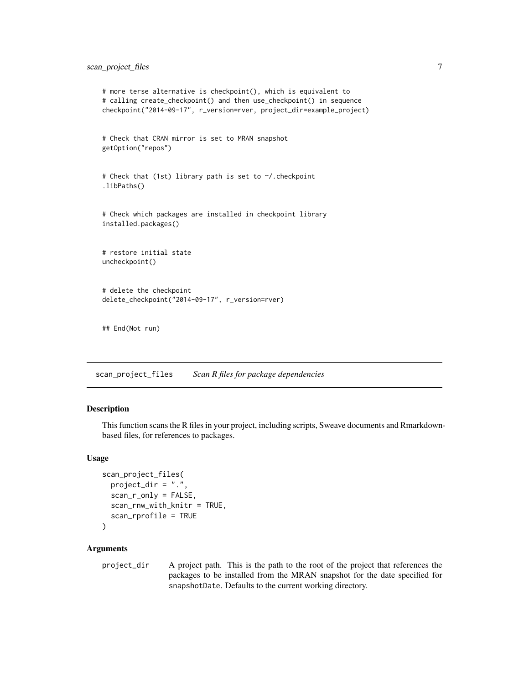#### <span id="page-6-0"></span>scan\_project\_files 7

```
# more terse alternative is checkpoint(), which is equivalent to
# calling create_checkpoint() and then use_checkpoint() in sequence
checkpoint("2014-09-17", r_version=rver, project_dir=example_project)
# Check that CRAN mirror is set to MRAN snapshot
getOption("repos")
# Check that (1st) library path is set to ~/.checkpoint
.libPaths()
# Check which packages are installed in checkpoint library
installed.packages()
# restore initial state
uncheckpoint()
# delete the checkpoint
delete_checkpoint("2014-09-17", r_version=rver)
## End(Not run)
```
<span id="page-6-1"></span>scan\_project\_files *Scan R files for package dependencies*

#### Description

This function scans the R files in your project, including scripts, Sweave documents and Rmarkdownbased files, for references to packages.

#### Usage

```
scan_project_files(
 project_dir = ".",
  scan_r_only = FALSE,
 scan_rnw_with_knitr = TRUE,
  scan_rprofile = TRUE
)
```
#### **Arguments**

project\_dir A project path. This is the path to the root of the project that references the packages to be installed from the MRAN snapshot for the date specified for snapshotDate. Defaults to the current working directory.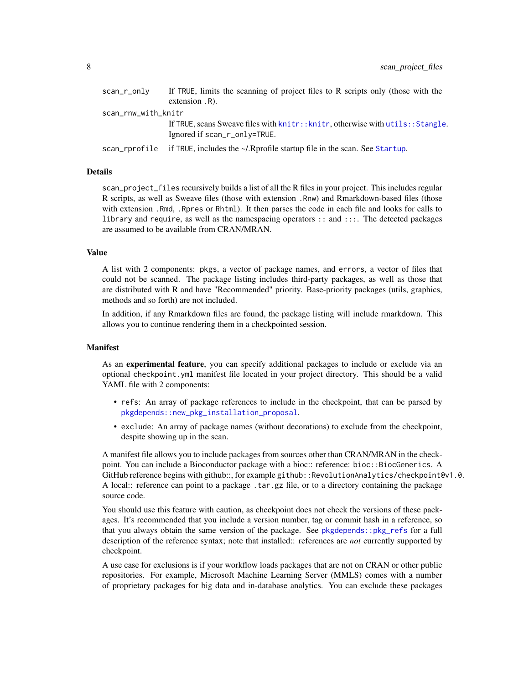<span id="page-7-0"></span>

| scan_r_only         | If TRUE, limits the scanning of project files to R scripts only (those with the        |
|---------------------|----------------------------------------------------------------------------------------|
|                     | $extension$ . R).                                                                      |
| scan_rnw_with_knitr |                                                                                        |
|                     | If TRUE, scans Sweave files with $k$ nitr:: $k$ nitr, otherwise with $utils::Stangle.$ |
|                     | Ignored if scan_r_only=TRUE.                                                           |
| scan_rprofile       | if TRUE, includes the $\sim$ /. Rprofile startup file in the scan. See Startup.        |

#### Details

scan\_project\_files recursively builds a list of all the R files in your project. This includes regular R scripts, as well as Sweave files (those with extension .Rnw) and Rmarkdown-based files (those with extension .Rmd, .Rpres or Rhtml). It then parses the code in each file and looks for calls to library and require, as well as the namespacing operators :: and :::. The detected packages are assumed to be available from CRAN/MRAN.

#### Value

A list with 2 components: pkgs, a vector of package names, and errors, a vector of files that could not be scanned. The package listing includes third-party packages, as well as those that are distributed with R and have "Recommended" priority. Base-priority packages (utils, graphics, methods and so forth) are not included.

In addition, if any Rmarkdown files are found, the package listing will include rmarkdown. This allows you to continue rendering them in a checkpointed session.

#### Manifest

As an experimental feature, you can specify additional packages to include or exclude via an optional checkpoint.yml manifest file located in your project directory. This should be a valid YAML file with 2 components:

- refs: An array of package references to include in the checkpoint, that can be parsed by [pkgdepends::new\\_pkg\\_installation\\_proposal](#page-0-0).
- exclude: An array of package names (without decorations) to exclude from the checkpoint, despite showing up in the scan.

A manifest file allows you to include packages from sources other than CRAN/MRAN in the checkpoint. You can include a Bioconductor package with a bioc:: reference: bioc:: BiocGenerics. A GitHub reference begins with github::, for example github:: RevolutionAnalytics/checkpoint@v1.0. A local:: reference can point to a package .tar.gz file, or to a directory containing the package source code.

You should use this feature with caution, as checkpoint does not check the versions of these packages. It's recommended that you include a version number, tag or commit hash in a reference, so that you always obtain the same version of the package. See [pkgdepends::pkg\\_refs](#page-0-0) for a full description of the reference syntax; note that installed:: references are *not* currently supported by checkpoint.

A use case for exclusions is if your workflow loads packages that are not on CRAN or other public repositories. For example, Microsoft Machine Learning Server (MMLS) comes with a number of proprietary packages for big data and in-database analytics. You can exclude these packages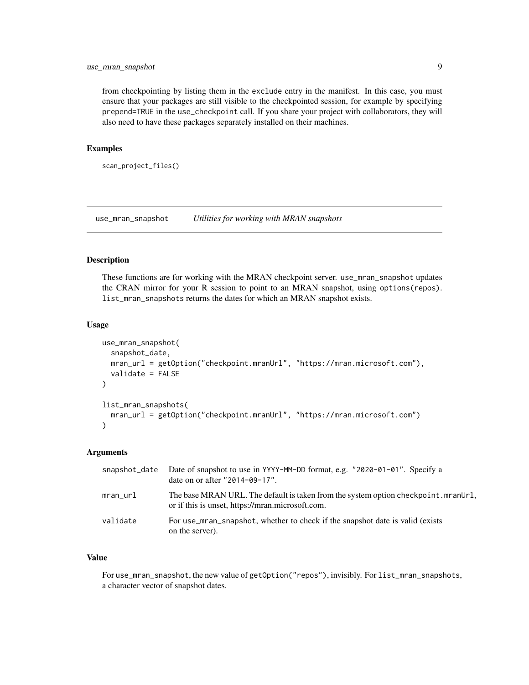#### <span id="page-8-0"></span>use\_mran\_snapshot 9

from checkpointing by listing them in the exclude entry in the manifest. In this case, you must ensure that your packages are still visible to the checkpointed session, for example by specifying prepend=TRUE in the use\_checkpoint call. If you share your project with collaborators, they will also need to have these packages separately installed on their machines.

#### Examples

```
scan_project_files()
```
<span id="page-8-2"></span>use\_mran\_snapshot *Utilities for working with MRAN snapshots*

#### <span id="page-8-1"></span>Description

These functions are for working with the MRAN checkpoint server. use\_mran\_snapshot updates the CRAN mirror for your R session to point to an MRAN snapshot, using options(repos). list\_mran\_snapshots returns the dates for which an MRAN snapshot exists.

#### Usage

```
use_mran_snapshot(
  snapshot_date,
  mran_url = getOption("checkpoint.mranUrl", "https://mran.microsoft.com"),
  validate = FALSE
\lambdalist_mran_snapshots(
  mran_url = getOption("checkpoint.mranUrl", "https://mran.microsoft.com")
)
```
#### Arguments

| snapshot_date | Date of snapshot to use in YYYY-MM-DD format, e.g. "2020-01-01". Specify a<br>date on or after "2014-09-17".                           |
|---------------|----------------------------------------------------------------------------------------------------------------------------------------|
| mran_url      | The base MRAN URL. The default is taken from the system option checkpoint.mranUrl,<br>or if this is unset, https://mran.microsoft.com. |
| validate      | For use_mran_snapshot, whether to check if the snapshot date is valid (exists)<br>on the server).                                      |

#### Value

For use\_mran\_snapshot, the new value of getOption("repos"), invisibly. For list\_mran\_snapshots, a character vector of snapshot dates.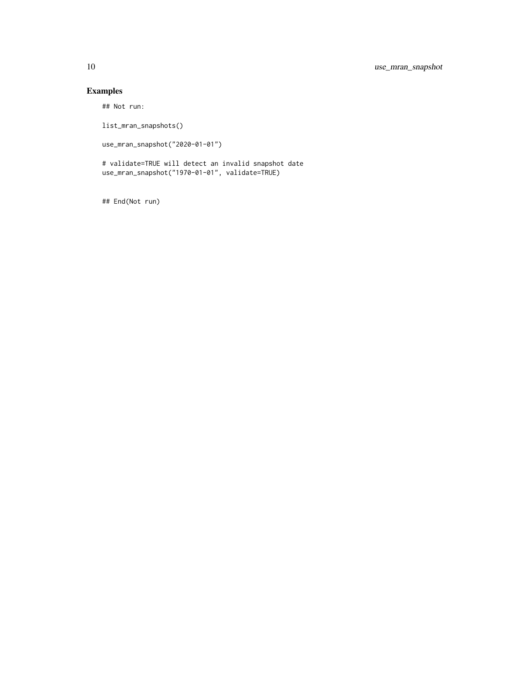#### Examples

## Not run:

list\_mran\_snapshots()

use\_mran\_snapshot("2020-01-01")

# validate=TRUE will detect an invalid snapshot date use\_mran\_snapshot("1970-01-01", validate=TRUE)

## End(Not run)